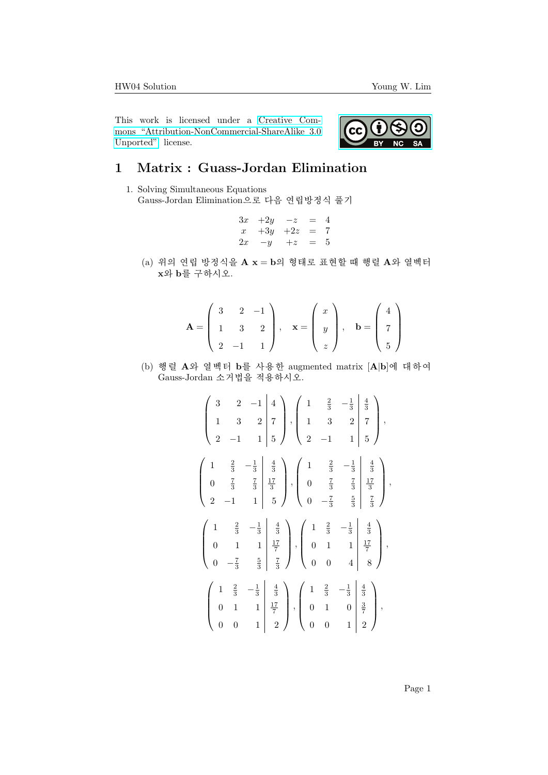This work is licensed under a [Creative Com](https://creativecommons.org/licenses/by-nc-sa/3.0/deed.en)[mons "Attribution-NonCommercial-ShareAlike 3.0](https://creativecommons.org/licenses/by-nc-sa/3.0/deed.en) [Unported"](https://creativecommons.org/licenses/by-nc-sa/3.0/deed.en) license.



## 1 Matrix : Guass-Jordan Elimination

1. Solving Simultaneous Equations Gauss-Jordan Elimination으로 다음 연립방정식 풀기

|                  | $3x + 2y$ | $-z$          | $=$ $-$ | 4 |
|------------------|-----------|---------------|---------|---|
| $\boldsymbol{x}$ |           | $+3y +2z = 7$ |         |   |
| 2x               | $-y$ $+z$ |               | $= 5$   |   |

 $(a)$  위의 연립 방정식을 A  $x = b$ 의 형태로 표현할 때 행렬 A와 열벡터 x와 b를 구하시오.

$$
\mathbf{A} = \begin{pmatrix} 3 & 2 & -1 \\ 1 & 3 & 2 \\ 2 & -1 & 1 \end{pmatrix}, \quad \mathbf{x} = \begin{pmatrix} x \\ y \\ z \end{pmatrix}, \quad \mathbf{b} = \begin{pmatrix} 4 \\ 7 \\ 5 \end{pmatrix}
$$

(b) 행렬 A와 열벡터 b를 사용한 augmented matrix [A|b]에 대하여 Gauss-Jordan 소거법을 적용하시오.

$$
\begin{pmatrix}\n3 & 2 & -1 & 4 \\
1 & 3 & 2 & 7 \\
2 & -1 & 1 & 5\n\end{pmatrix}, \begin{pmatrix}\n1 & \frac{2}{3} & -\frac{1}{3} & \frac{4}{3} \\
1 & 3 & 2 & 7 \\
2 & -1 & 1 & 5\n\end{pmatrix},
$$
\n
$$
\begin{pmatrix}\n1 & \frac{2}{3} & -\frac{1}{3} & \frac{4}{3} \\
0 & \frac{7}{3} & \frac{7}{3} & \frac{17}{3} \\
2 & -1 & 1 & 5\n\end{pmatrix}, \begin{pmatrix}\n1 & \frac{2}{3} & -\frac{1}{3} & \frac{4}{3} \\
0 & \frac{7}{3} & \frac{7}{3} & \frac{17}{3} \\
0 & -\frac{7}{3} & \frac{5}{3} & \frac{7}{3}\n\end{pmatrix}, \begin{pmatrix}\n1 & \frac{2}{3} & -\frac{1}{3} & \frac{4}{3} \\
0 & \frac{7}{3} & \frac{7}{3} & \frac{7}{3} \\
0 & 1 & 1 & \frac{17}{7} \\
0 & -\frac{7}{3} & \frac{5}{3} & \frac{7}{3}\n\end{pmatrix}, \begin{pmatrix}\n1 & \frac{2}{3} & -\frac{1}{3} & \frac{4}{3} \\
0 & 1 & 1 & \frac{17}{7} \\
0 & 0 & 4 & 8\n\end{pmatrix},
$$
\n
$$
\begin{pmatrix}\n1 & \frac{2}{3} & -\frac{1}{3} & \frac{4}{3} \\
0 & 1 & 1 & \frac{17}{7} \\
0 & 0 & 1 & 2\n\end{pmatrix}, \begin{pmatrix}\n1 & \frac{2}{3} & -\frac{1}{3} & \frac{4}{3} \\
0 & 1 & 0 & \frac{3}{7} \\
0 & 0 & 1 & 2\n\end{pmatrix},
$$

Page 1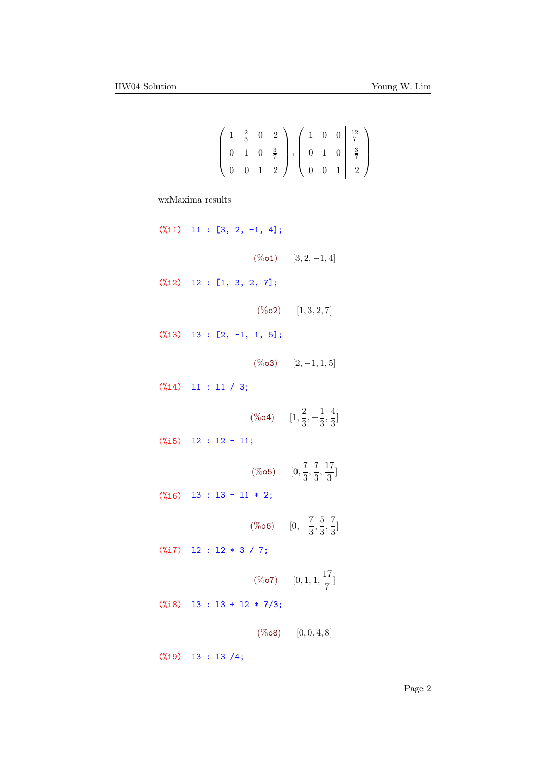$$
\left(\begin{array}{ccc|c}\n1 & \frac{2}{3} & 0 & 2 \\
0 & 1 & 0 & \frac{3}{7} \\
0 & 0 & 1 & 2\n\end{array}\right), \left(\begin{array}{ccc|c}\n1 & 0 & 0 & \frac{12}{7} \\
0 & 1 & 0 & \frac{3}{7} \\
0 & 0 & 1 & 2\n\end{array}\right)
$$

wxMaxima results

 $(\% i1)$  11 : [3, 2, -1, 4];  $(\% \circ 1)$  [3, 2, -1, 4]  $(\% i2)$  12 : [1, 3, 2, 7];  $(\% \circ 2)$  [1, 3, 2, 7] (%i3) l3 : [2, -1, 1, 5];  $(\% \circ 3)$  [2, -1, 1, 5] (%i4) l1 : l1 / 3;  $(\%$ 04)  $[1, \frac{2}{2}]$  $\frac{2}{3}, -\frac{1}{3}$  $\frac{1}{3}, \frac{4}{3}$  $\frac{1}{3}$ ] (%i5) l2 : l2 - l1;  $(\%$ 05) [0,  $\frac{7}{2}$  $rac{7}{3}, \frac{7}{3}$  $\frac{7}{3}, \frac{17}{3}$  $\frac{1}{3}$ ]  $(\% i6)$  13 : 13 - 11 \* 2;  $(\%$ 06)  $[0, -\frac{7}{3}]$  $\frac{7}{3}, \frac{5}{3}$  $\frac{5}{3}, \frac{7}{3}$  $\frac{1}{3}$ ]  $(\% i7)$  12 : 12 \* 3 / 7;  $(\% \circ 7)$  [0, 1, 1,  $\frac{17}{7}$  $\frac{1}{7}]$ (%i8) l3 : l3 + l2 \* 7/3;  $(\% \circ 8)$  [0, 0, 4, 8] (%i9) l3 : l3 /4;

Page 2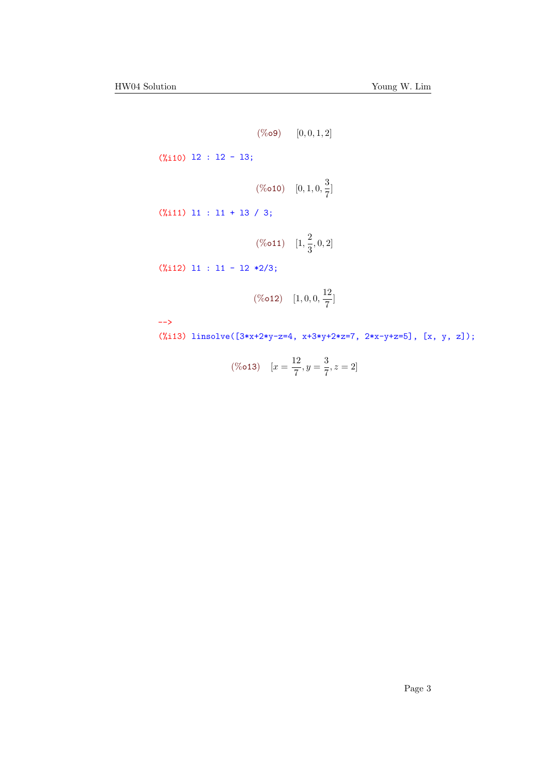$$
(\% \mathsf{09}) \qquad [0,0,1,2]
$$

(%i10) l2 : l2 - l3;

$$
(\% \texttt{o10}) \quad [0,1,0,\frac{3}{7}]
$$

(%i11) l1 : l1 + l3 / 3;

$$
(\%o11) \quad \, [1,\frac{2}{3},0,2]
$$

 $(\text{\%}i12)$  11 : 11 - 12 \*2/3;

$$
(\%o12)\quad \, [1,0,0,\frac{12}{7}]\\
$$

-->

(%i13) linsolve([3\*x+2\*y-z=4, x+3\*y+2\*z=7, 2\*x-y+z=5], [x, y, z]);

$$
(\% \text{ol3}) \quad [x = \frac{12}{7}, y = \frac{3}{7}, z = 2]
$$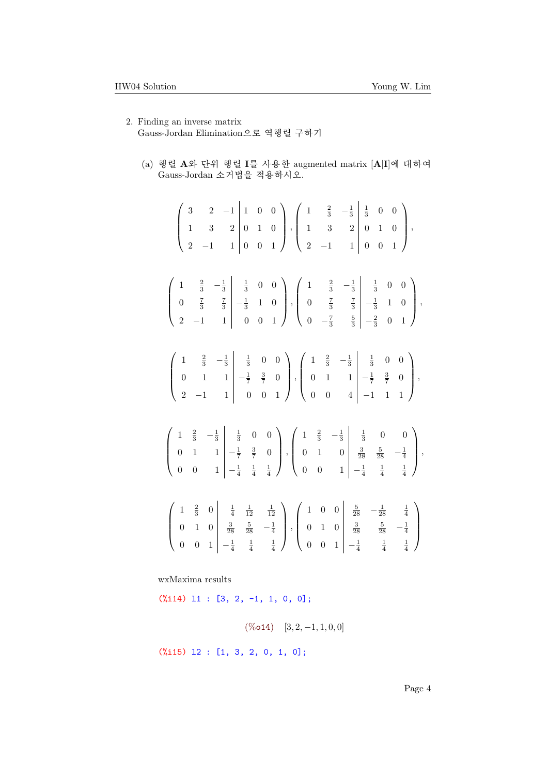- 2. Finding an inverse matrix Gauss-Jordan Elimination으로 역행렬 구하기
	- (a) 행렬  $A$ 와 단위 행렬 I를 사용한 augmented matrix  $[A|I]$ 에 대하여 Gauss-Jordan 소거법을 적용하시오.

|  |  |  | $\left(\begin{array}{rrrrr} 3 & 2 & -1 & 1 & 0 & 0 \\ 1 & 3 & 2 & 0 & 1 & 0 \\ 2 & -1 & 1 & 0 & 0 & 1 \end{array}\right), \left(\begin{array}{rrrrr} 1 & \frac{2}{3} & -\frac{1}{3} & \frac{1}{3} & 0 & 0 \\ 1 & 3 & 2 & 0 & 1 & 0 \\ 2 & -1 & 1 & 0 & 0 & 1 \end{array}\right),$                                                                                                                       |
|--|--|--|---------------------------------------------------------------------------------------------------------------------------------------------------------------------------------------------------------------------------------------------------------------------------------------------------------------------------------------------------------------------------------------------------------|
|  |  |  | $\left(\begin{array}{cccc c} 1 & \frac{2}{3} & -\frac{1}{3} & \frac{1}{3} & 0 & 0 \\ 0 & \frac{7}{3} & \frac{7}{3} & -\frac{1}{3} & 1 & 0 \\ 2 & -1 & 1 & 0 & 0 & 1 \end{array}\right), \left(\begin{array}{cccc c} 1 & \frac{2}{3} & -\frac{1}{3} & \frac{1}{3} & 0 & 0 \\ 0 & \frac{7}{3} & \frac{7}{3} & -\frac{1}{3} & 1 & 0 \\ 0 & -\frac{7}{3} & \frac{5}{3} & -\frac{2}{3} & 0 & 1 \end{array$   |
|  |  |  | $\left(\begin{array}{cccc c} 1 & \frac{2}{3} & -\frac{1}{3} & \frac{1}{3} & 0 & 0 \\ 0 & 1 & 1 & -\frac{1}{7} & \frac{3}{7} & 0 \\ 2 & -1 & 1 & 0 & 0 & 1 \end{array}\right), \left(\begin{array}{cccc c} 1 & \frac{2}{3} & -\frac{1}{3} & \frac{1}{3} & 0 & 0 \\ 0 & 1 & 1 & -\frac{1}{7} & \frac{3}{7} & 0 \\ 0 & 0 & 4 & -1 & 1 & 1 \end{array}\right),$                                             |
|  |  |  | $\left(\begin{array}{cccc cccc} 1 & \frac{2}{3} & -\frac{1}{3} & \frac{1}{3} & 0 & 0 \\ 0 & 1 & 1 & -\frac{1}{7} & \frac{3}{7} & 0 \\ 0 & 0 & 1 & -\frac{1}{4} & \frac{1}{4} & \frac{1}{4} \end{array}\right), \left(\begin{array}{cccc cccc} 1 & \frac{2}{3} & -\frac{1}{3} & \frac{1}{3} & 0 & 0 \\ 0 & 1 & 0 & \frac{3}{28} & \frac{5}{28} & -\frac{1}{4} \\ 0 & 0 & 1 & -\frac{1}{4} & \frac{1}{4}$ |
|  |  |  | $\left(\begin{array}{cccc c} 1 & \frac{2}{3} & 0 & \frac{1}{4} & \frac{1}{12} & \frac{1}{12} \\ 0 & 1 & 0 & \frac{3}{28} & \frac{5}{28} & -\frac{1}{4} \\ 0 & 0 & 1 & -\frac{1}{4} & \frac{1}{4} & \frac{1}{4} \end{array}\right), \left(\begin{array}{cccc c} 1 & 0 & 0 & \frac{5}{28} & -\frac{1}{28} & \frac{1}{4} \\ 0 & 1 & 0 & \frac{3}{28} & \frac{5}{28} & -\frac{1}{4} \\ 0 & 0 & 1 & -$       |

wxMaxima results

(%i14) l1 : [3, 2, -1, 1, 0, 0];

$$
(\% \mathtt{014}) \quad \ [3,2,-1,1,0,0]
$$

(%i15) l2 : [1, 3, 2, 0, 1, 0];

Page 4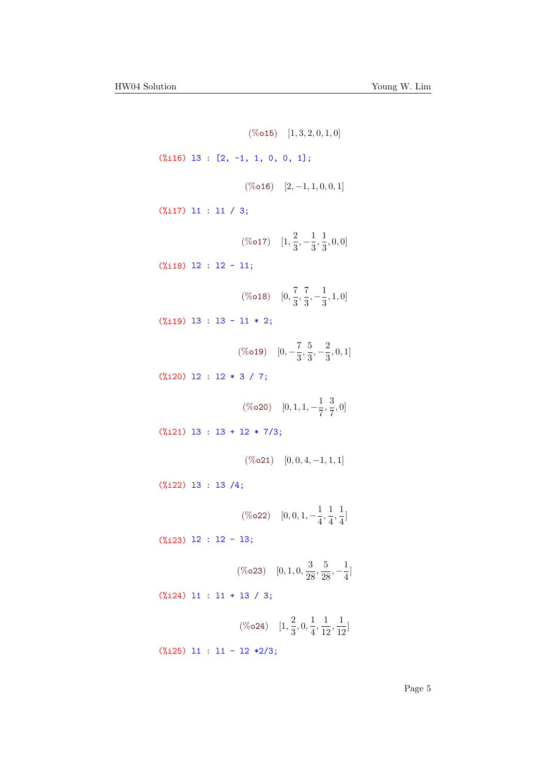```
(\%015) [1, 3, 2, 0, 1, 0]
(%i16) l3 : [2, -1, 1, 0, 0, 1];
                                     (\% \circ 16) [2, -1, 1, 0, 0, 1]
(%i17) l1 : l1 / 3;
                                     (\%017) [1, \frac{2}{2}]\frac{2}{3}, -\frac{1}{3}\frac{1}{3}, \frac{1}{3}\frac{1}{3}, 0, 0]
(%i18) l2 : l2 - l1;
                                     (\%018) [0, \frac{7}{2}]rac{7}{3}, \frac{7}{3}\frac{7}{3}, -\frac{1}{3}\frac{1}{3}, 1, 0](%i19) l3 : l3 - l1 * 2;
                                   (\%019) [0, -\frac{7}{9}]\frac{7}{3}, \frac{5}{3}\frac{5}{3}, -\frac{2}{3}\frac{2}{3}, 0, 1](%i20) l2 : l2 * 3 / 7;
                                     (\%∘20) [0, 1, 1, -\frac{1}{7})\frac{1}{7}, \frac{3}{7}\frac{3}{7}, 0](\frac{21}{121}) 13 : 13 + 12 * 7/3;
                                     (\%°21) [0, 0, 4, -1, 1, 1]
(%i22) l3 : l3 /4;
                                     (\%°22) [0, 0, 1, −\frac{1}{4}]
                                                                      \frac{1}{4}, \frac{1}{4}\frac{1}{4}, \frac{1}{4}\frac{1}{4}]
(\frac{2}{3}i23) 12 : 12 - 13;
                                   (\%o23) [0, 1, 0, \frac{3}{20}\frac{3}{28}, \frac{5}{28}\frac{5}{28}, -\frac{1}{4}\frac{1}{4}]
(%i24) l1 : l1 + l3 / 3;
                                    (\%°24) [1, \frac{2}{2}]\frac{2}{3}, 0, \frac{1}{4}\frac{1}{4}, \frac{1}{12}\frac{1}{12}, \frac{1}{12}\frac{1}{12}(\text{\%i25}) 11 : 11 - 12 *2/3;
```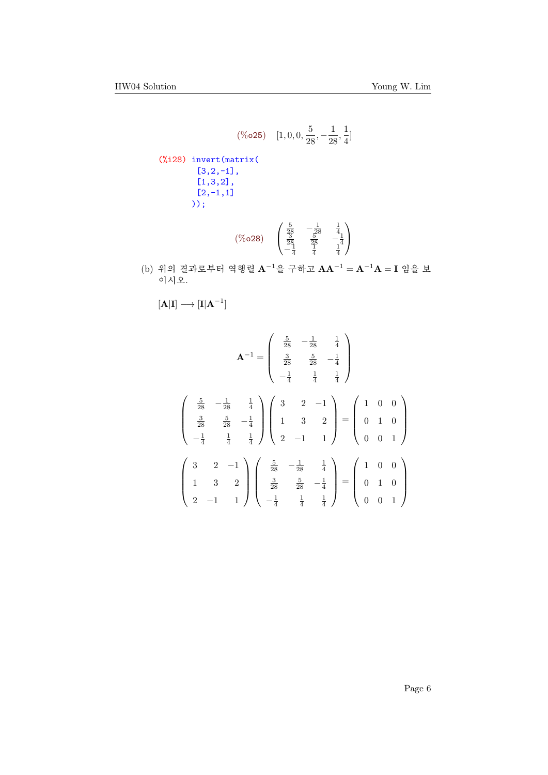$$
(\%o25) [1, 0, 0, \frac{5}{28}, -\frac{1}{28}, \frac{1}{4}]
$$
  
\n
$$
(\%i28) \text{ invert}(\text{matrix}(
$$
  
\n
$$
[3, 2, -1],
$$
  
\n
$$
[1, 3, 2],
$$
  
\n
$$
[2, -1, 1]
$$
  
\n
$$
);\tag{%o28} \begin{pmatrix} \frac{5}{28} & -\frac{1}{28} & \frac{1}{4} \\ -\frac{1}{4} & \frac{1}{4} & \frac{1}{4} \end{pmatrix}
$$

(b) 위의 결과로부터 역행렬  ${\bf A}^{-1}$ 을 구하고  ${\bf A} {\bf A}^{-1} = {\bf A}^{-1} {\bf A} = {\bf I}$  임을 보 이시오.

$$
[\mathbf{A}|\mathbf{I}]\longrightarrow [\mathbf{I}|\mathbf{A}^{-1}]
$$

$$
\mathbf{A}^{-1} = \begin{pmatrix} \frac{5}{28} & -\frac{1}{28} & \frac{1}{4} \\ \frac{3}{28} & \frac{5}{28} & -\frac{1}{4} \\ -\frac{1}{4} & \frac{1}{4} & \frac{1}{4} \end{pmatrix}
$$

$$
\begin{pmatrix} \frac{5}{28} & -\frac{1}{28} & \frac{1}{4} \\ \frac{3}{28} & \frac{5}{28} & -\frac{1}{4} \\ -\frac{1}{4} & \frac{1}{4} & \frac{1}{4} \end{pmatrix} \begin{pmatrix} 3 & 2 & -1 \\ 1 & 3 & 2 \\ 2 & -1 & 1 \end{pmatrix} = \begin{pmatrix} 1 & 0 & 0 \\ 0 & 1 & 0 \\ 0 & 0 & 1 \end{pmatrix}
$$

$$
\begin{pmatrix} 3 & 2 & -1 \\ 1 & 3 & 2 \\ 1 & 3 & 2 \\ 2 & -1 & 1 \end{pmatrix} \begin{pmatrix} \frac{5}{28} & -\frac{1}{28} & \frac{1}{4} \\ \frac{3}{28} & \frac{5}{28} & -\frac{1}{4} \\ -\frac{1}{4} & \frac{1}{4} & \frac{1}{4} \end{pmatrix} = \begin{pmatrix} 1 & 0 & 0 \\ 0 & 1 & 0 \\ 0 & 0 & 1 \end{pmatrix}
$$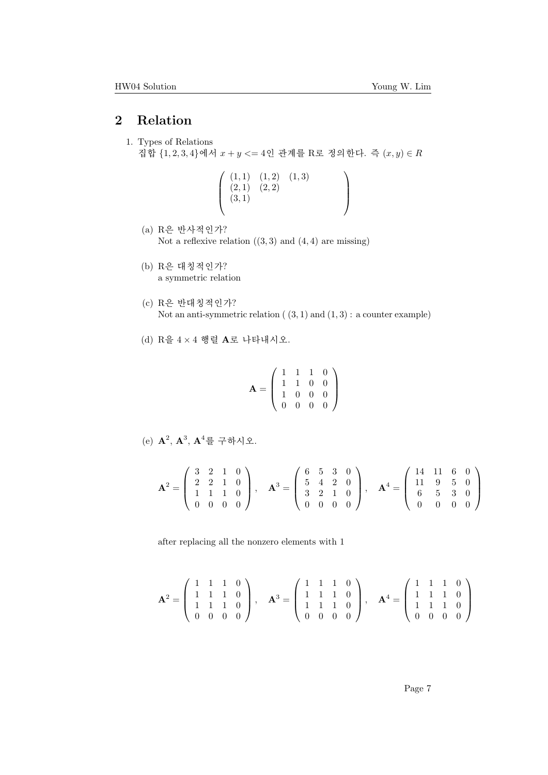## 2 Relation

1. Types of Relations 집합  $\{1, 2, 3, 4\}$ 에서  $x + y \leq 4$ 인 관계를 R로 정의한다. 즉  $(x, y) \in R$ 

$$
\left(\begin{array}{cc} (1,1) & (1,2) & (1,3) \\ (2,1) & (2,2) & \\ (3,1) & & \end{array}\right)
$$

- (a) R은 반사적인가? Not a reflexive relation  $((3,3)$  and  $(4,4)$  are missing)
- (b) R은 대칭적인가? a symmetric relation
- (c) R은 반대칭적인가? Not an anti-symmetric relation  $( (3,1)$  and  $(1,3)$ : a counter example)
- $(d)$   $R\triangleq 4 \times 4$  행렬  $A$ 로 나타내시오.

$$
\mathbf{A} = \left( \begin{array}{rrrr} 1 & 1 & 1 & 0 \\ 1 & 1 & 0 & 0 \\ 1 & 0 & 0 & 0 \\ 0 & 0 & 0 & 0 \end{array} \right)
$$

(e)  $\mathbf{A}^2$ ,  $\mathbf{A}^3$ ,  $\mathbf{A}^4 \equiv \frac{1}{2}$  구하시오.

$$
\mathbf{A}^2 = \begin{pmatrix} 3 & 2 & 1 & 0 \\ 2 & 2 & 1 & 0 \\ 1 & 1 & 1 & 0 \\ 0 & 0 & 0 & 0 \end{pmatrix}, \quad \mathbf{A}^3 = \begin{pmatrix} 6 & 5 & 3 & 0 \\ 5 & 4 & 2 & 0 \\ 3 & 2 & 1 & 0 \\ 0 & 0 & 0 & 0 \end{pmatrix}, \quad \mathbf{A}^4 = \begin{pmatrix} 14 & 11 & 6 & 0 \\ 11 & 9 & 5 & 0 \\ 6 & 5 & 3 & 0 \\ 0 & 0 & 0 & 0 \end{pmatrix}
$$

after replacing all the nonzero elements with 1

$$
\mathbf{A}^2 = \left( \begin{array}{rrrrr} 1 & 1 & 1 & 0 \\ 1 & 1 & 1 & 0 \\ 1 & 1 & 1 & 0 \\ 0 & 0 & 0 & 0 \end{array} \right), \quad \mathbf{A}^3 = \left( \begin{array}{rrrrr} 1 & 1 & 1 & 0 \\ 1 & 1 & 1 & 0 \\ 1 & 1 & 1 & 0 \\ 0 & 0 & 0 & 0 \end{array} \right), \quad \mathbf{A}^4 = \left( \begin{array}{rrrrr} 1 & 1 & 1 & 0 \\ 1 & 1 & 1 & 0 \\ 1 & 1 & 1 & 0 \\ 0 & 0 & 0 & 0 \end{array} \right)
$$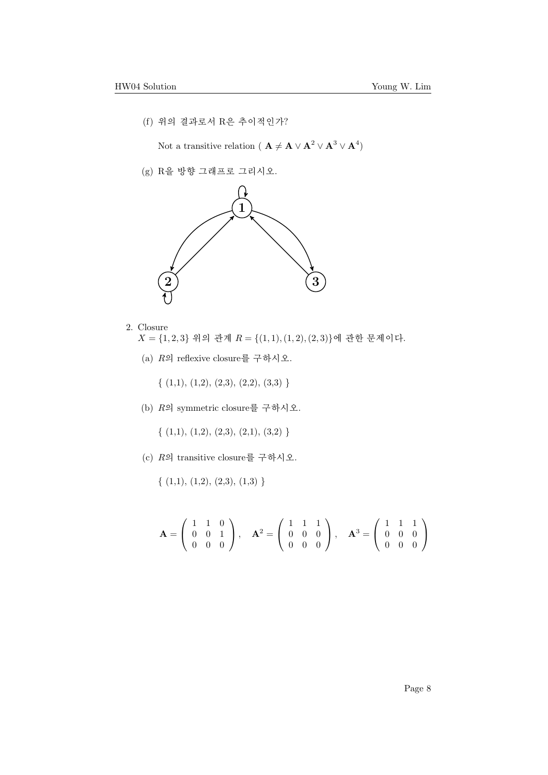(f) 위의 결과로서 R은 추이적인가?

Not a transitive relation (  $\mathbf{A} \neq \mathbf{A} \vee \mathbf{A}^2 \vee \mathbf{A}^3 \vee \mathbf{A}^4$ )

 $(g)$   $R \triangleq$  방향 그래프로 그리시오.



- 2. Closure
	- $X = \{1, 2, 3\}$  위의 관계  $R = \{(1, 1), (1, 2), (2, 3)\}$ 에 관한 문제이다.
	- (a) R의 reflexive closure를 구하시오.

 $\{ (1,1), (1,2), (2,3), (2,2), (3,3) \}$ 

(b) R의 symmetric closure를 구하시오.

 $\{ (1,1), (1,2), (2,3), (2,1), (3,2) \}$ 

(c) R의 transitive closure를 구하시오.

 $\{ (1,1), (1,2), (2,3), (1,3) \}$ 

$$
\mathbf{A} = \left( \begin{array}{ccc} 1 & 1 & 0 \\ 0 & 0 & 1 \\ 0 & 0 & 0 \end{array} \right), \quad \mathbf{A}^2 = \left( \begin{array}{ccc} 1 & 1 & 1 \\ 0 & 0 & 0 \\ 0 & 0 & 0 \end{array} \right), \quad \mathbf{A}^3 = \left( \begin{array}{ccc} 1 & 1 & 1 \\ 0 & 0 & 0 \\ 0 & 0 & 0 \end{array} \right)
$$